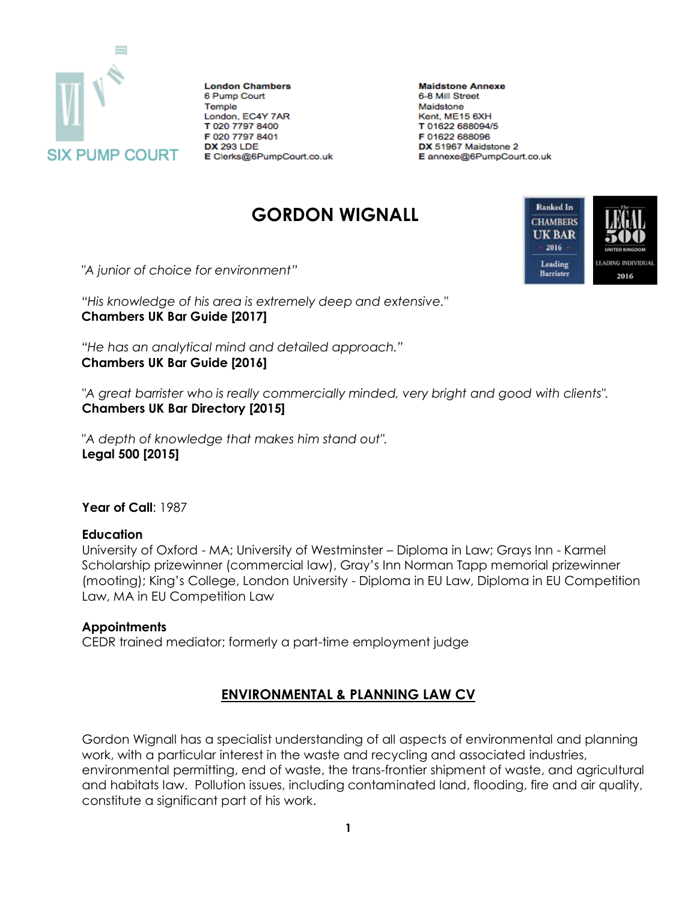

**London Chambers** 6 Pump Court Temple London, EC4Y 7AR T 020 7797 8400 F 020 7797 8401 **DX 293 LDE** E Clerks@6PumpCourt.co.uk **Maidstone Annexe** 6-8 Mill Street Maidstone Kent, ME15 6XH T 01622 688094/5 F 01622 688096 DX 51967 Maidstone 2 E annexe@6PumpCourt.co.uk

# **GORDON WIGNALL**



*"A junior of choice for environment"*

*"His knowledge of his area is extremely deep and extensive."* **Chambers UK Bar Guide [2017]**

*"He has an analytical mind and detailed approach."* **Chambers UK Bar Guide [2016]**

*"A great barrister who is really commercially minded, very bright and good with clients".*  **Chambers UK Bar Directory [2015]**

"*A depth of knowledge that makes him stand out".*  **Legal 500 [2015]**

**Year of Call**: 1987

#### **Education**

University of Oxford - MA; University of Westminster – Diploma in Law; Grays Inn - Karmel Scholarship prizewinner (commercial law), Gray's Inn Norman Tapp memorial prizewinner (mooting); King's College, London University - Diploma in EU Law, Diploma in EU Competition Law, MA in EU Competition Law

#### **Appointments**

CEDR trained mediator; formerly a part-time employment judge

## **ENVIRONMENTAL & PLANNING LAW CV**

Gordon Wignall has a specialist understanding of all aspects of environmental and planning work, with a particular interest in the waste and recycling and associated industries, environmental permitting, end of waste, the trans-frontier shipment of waste, and agricultural and habitats law. Pollution issues, including contaminated land, flooding, fire and air quality, constitute a significant part of his work.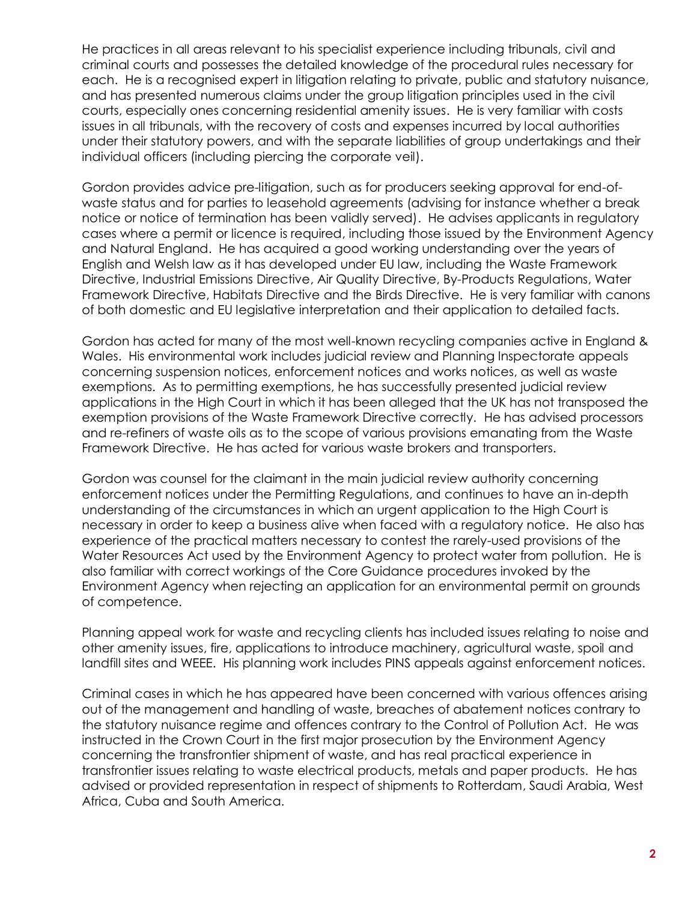He practices in all areas relevant to his specialist experience including tribunals, civil and criminal courts and possesses the detailed knowledge of the procedural rules necessary for each. He is a recognised expert in litigation relating to private, public and statutory nuisance, and has presented numerous claims under the group litigation principles used in the civil courts, especially ones concerning residential amenity issues. He is very familiar with costs issues in all tribunals, with the recovery of costs and expenses incurred by local authorities under their statutory powers, and with the separate liabilities of group undertakings and their individual officers (including piercing the corporate veil).

Gordon provides advice pre-litigation, such as for producers seeking approval for end-ofwaste status and for parties to leasehold agreements (advising for instance whether a break notice or notice of termination has been validly served). He advises applicants in regulatory cases where a permit or licence is required, including those issued by the Environment Agency and Natural England. He has acquired a good working understanding over the years of English and Welsh law as it has developed under EU law, including the Waste Framework Directive, Industrial Emissions Directive, Air Quality Directive, By-Products Regulations, Water Framework Directive, Habitats Directive and the Birds Directive. He is very familiar with canons of both domestic and EU legislative interpretation and their application to detailed facts.

Gordon has acted for many of the most well-known recycling companies active in England & Wales. His environmental work includes judicial review and Planning Inspectorate appeals concerning suspension notices, enforcement notices and works notices, as well as waste exemptions. As to permitting exemptions, he has successfully presented judicial review applications in the High Court in which it has been alleged that the UK has not transposed the exemption provisions of the Waste Framework Directive correctly. He has advised processors and re-refiners of waste oils as to the scope of various provisions emanating from the Waste Framework Directive. He has acted for various waste brokers and transporters.

Gordon was counsel for the claimant in the main judicial review authority concerning enforcement notices under the Permitting Regulations, and continues to have an in-depth understanding of the circumstances in which an urgent application to the High Court is necessary in order to keep a business alive when faced with a regulatory notice. He also has experience of the practical matters necessary to contest the rarely-used provisions of the Water Resources Act used by the Environment Agency to protect water from pollution. He is also familiar with correct workings of the Core Guidance procedures invoked by the Environment Agency when rejecting an application for an environmental permit on grounds of competence.

Planning appeal work for waste and recycling clients has included issues relating to noise and other amenity issues, fire, applications to introduce machinery, agricultural waste, spoil and landfill sites and WEEE. His planning work includes PINS appeals against enforcement notices.

Criminal cases in which he has appeared have been concerned with various offences arising out of the management and handling of waste, breaches of abatement notices contrary to the statutory nuisance regime and offences contrary to the Control of Pollution Act. He was instructed in the Crown Court in the first major prosecution by the Environment Agency concerning the transfrontier shipment of waste, and has real practical experience in transfrontier issues relating to waste electrical products, metals and paper products. He has advised or provided representation in respect of shipments to Rotterdam, Saudi Arabia, West Africa, Cuba and South America.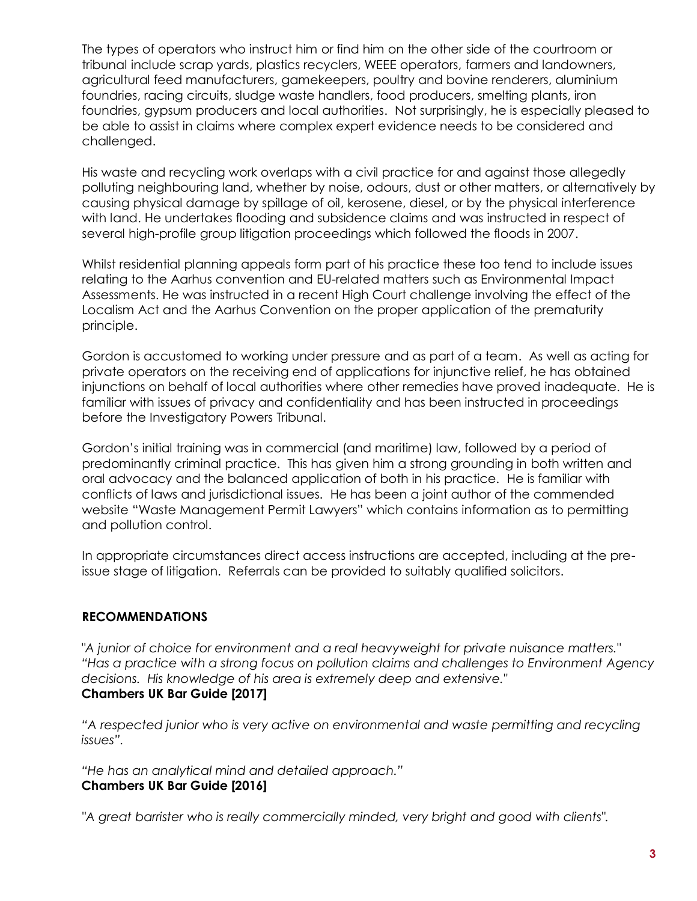The types of operators who instruct him or find him on the other side of the courtroom or tribunal include scrap yards, plastics recyclers, WEEE operators, farmers and landowners, agricultural feed manufacturers, gamekeepers, poultry and bovine renderers, aluminium foundries, racing circuits, sludge waste handlers, food producers, smelting plants, iron foundries, gypsum producers and local authorities. Not surprisingly, he is especially pleased to be able to assist in claims where complex expert evidence needs to be considered and challenged.

His waste and recycling work overlaps with a civil practice for and against those allegedly polluting neighbouring land, whether by noise, odours, dust or other matters, or alternatively by causing physical damage by spillage of oil, kerosene, diesel, or by the physical interference with land. He undertakes flooding and subsidence claims and was instructed in respect of several high-profile group litigation proceedings which followed the floods in 2007.

Whilst residential planning appeals form part of his practice these too tend to include issues relating to the Aarhus convention and EU-related matters such as Environmental Impact Assessments. He was instructed in a recent High Court challenge involving the effect of the Localism Act and the Aarhus Convention on the proper application of the prematurity principle.

Gordon is accustomed to working under pressure and as part of a team. As well as acting for private operators on the receiving end of applications for injunctive relief, he has obtained injunctions on behalf of local authorities where other remedies have proved inadequate. He is familiar with issues of privacy and confidentiality and has been instructed in proceedings before the Investigatory Powers Tribunal.

Gordon's initial training was in commercial (and maritime) law, followed by a period of predominantly criminal practice. This has given him a strong grounding in both written and oral advocacy and the balanced application of both in his practice. He is familiar with conflicts of laws and jurisdictional issues. He has been a joint author of the commended website "Waste Management Permit Lawyers" which contains information as to permitting and pollution control.

In appropriate circumstances direct access instructions are accepted, including at the preissue stage of litigation. Referrals can be provided to suitably qualified solicitors.

## **RECOMMENDATIONS**

*"A junior of choice for environment and a real heavyweight for private nuisance matters." "Has a practice with a strong focus on pollution claims and challenges to Environment Agency decisions. His knowledge of his area is extremely deep and extensive."* **Chambers UK Bar Guide [2017]**

"A respected junior who is very active on environmental and waste permitting and recycling *issues".*

*"He has an analytical mind and detailed approach."* **Chambers UK Bar Guide [2016]**

*"A great barrister who is really commercially minded, very bright and good with clients".*